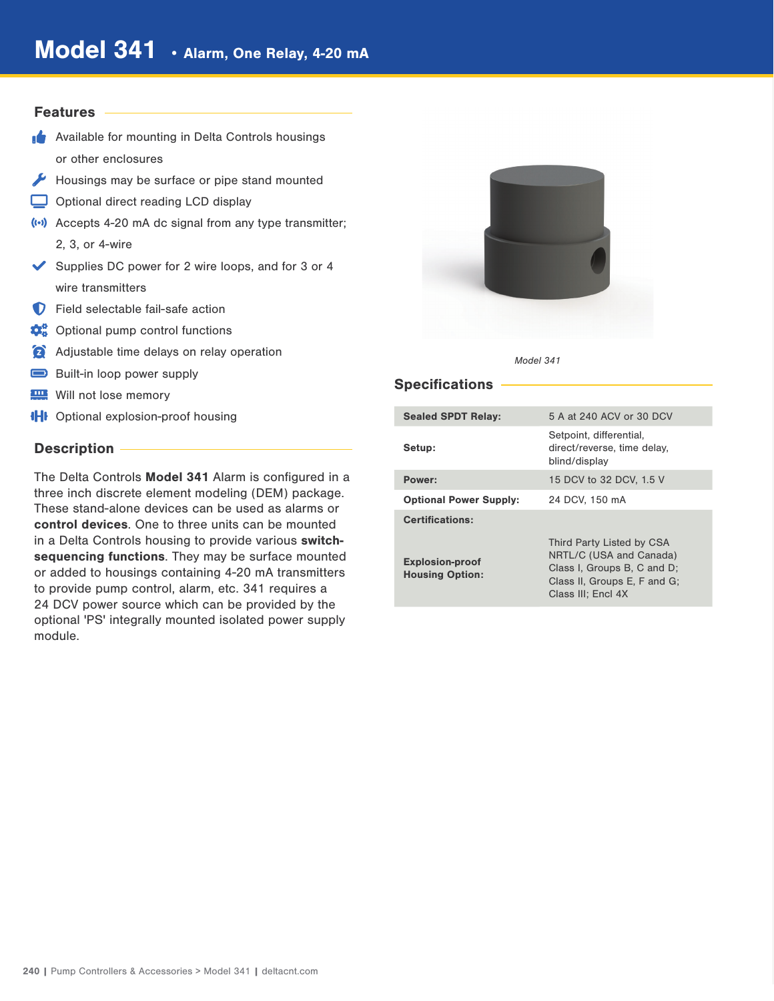## **Features**

- **Available for mounting in Delta Controls housings** or other enclosures
- Housings may be surface or pipe stand mounted
- Optional direct reading LCD display
- (e) Accepts 4-20 mA dc signal from any type transmitter; 2, 3, or 4-wire
- Supplies DC power for 2 wire loops, and for  $3$  or  $4$ wire transmitters
- **D** Field selectable fail-safe action
- $\mathbf{\ddot{Q}}_6^0$  Optional pump control functions
- Adjustable time delays on relay operation
- Built-in loop power supply
- **Will not lose memory**
- **IHI** Optional explosion-proof housing

## Description -

The Delta Controls Model 341 Alarm is configured in a three inch discrete element modeling (DEM) package. These stand-alone devices can be used as alarms or control devices. One to three units can be mounted in a Delta Controls housing to provide various switchsequencing functions. They may be surface mounted or added to housings containing 4-20 mA transmitters to provide pump control, alarm, etc. 341 requires a 24 DCV power source which can be provided by the optional 'PS' integrally mounted isolated power supply module.





## Specifications -

| <b>Sealed SPDT Relay:</b>                        | 5 A at 240 ACV or 30 DCV                                                                                                                  |
|--------------------------------------------------|-------------------------------------------------------------------------------------------------------------------------------------------|
| Setup:                                           | Setpoint, differential,<br>direct/reverse, time delay,<br>blind/display                                                                   |
| Power:                                           | 15 DCV to 32 DCV, 1.5 V                                                                                                                   |
| <b>Optional Power Supply:</b>                    | 24 DCV, 150 mA                                                                                                                            |
| <b>Certifications:</b>                           |                                                                                                                                           |
| <b>Explosion-proof</b><br><b>Housing Option:</b> | Third Party Listed by CSA<br>NRTL/C (USA and Canada)<br>Class I, Groups B, C and D;<br>Class II, Groups E, F and G;<br>Class III: Encl 4X |